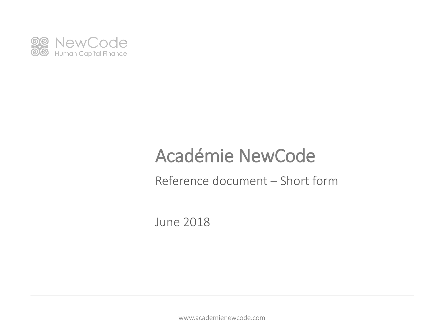

Reference document – Short form

June 2018

www.academienewcode.com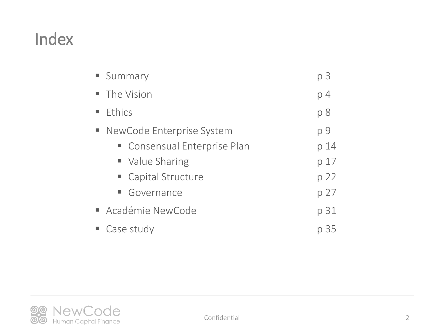# Index

|        | <b>Summary</b>               | p <sub>3</sub> |
|--------|------------------------------|----------------|
|        | • The Vision                 | p <sub>4</sub> |
|        | $E$ Ethics                   | p8             |
| $\Box$ | NewCode Enterprise System    | p 9            |
|        | • Consensual Enterprise Plan | p 14           |
|        | ■ Value Sharing              | p 17           |
|        | • Capital Structure          | p 22           |
|        | • Governance                 | p 27           |
|        | Académie NewCode             | p 31           |
|        | ■ Case study                 | p 35           |

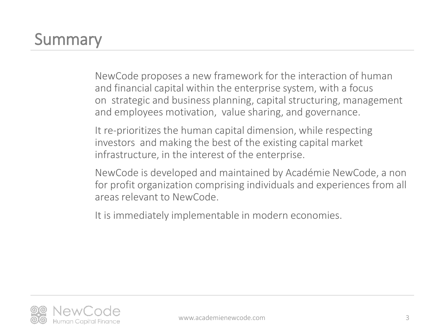# **Summary**

NewCode proposes a new framework for the interaction of human and financial capital within the enterprise system, with a focus on strategic and business planning, capital structuring, management and employees motivation, value sharing, and governance.

It re-prioritizes the human capital dimension, while respecting investors and making the best of the existing capital market infrastructure, in the interest of the enterprise.

NewCode is developed and maintained by Académie NewCode, a non for profit organization comprising individuals and experiences from all areas relevant to NewCode.

It is immediately implementable in modern economies.

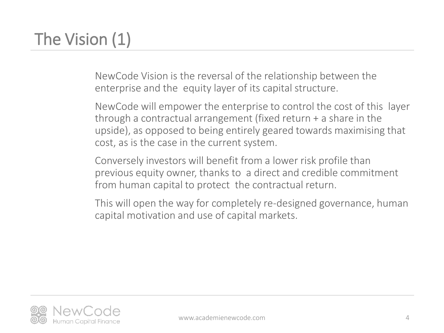# The Vision (1)

NewCode Vision is the reversal of the relationship between the enterprise and the equity layer of its capital structure.

NewCode will empower the enterprise to control the cost of this layer through a contractual arrangement (fixed return + a share in the upside), as opposed to being entirely geared towards maximising that cost, as is the case in the current system.

Conversely investors will benefit from a lower risk profile than previous equity owner, thanks to a direct and credible commitment from human capital to protect the contractual return.

This will open the way for completely re-designed governance, human capital motivation and use of capital markets.

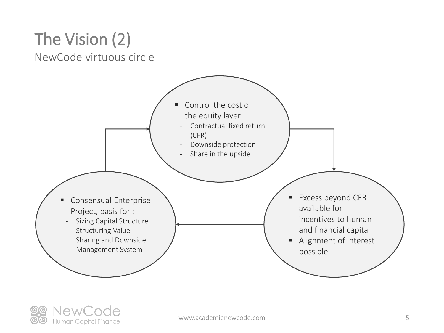### The Vision (2) NewCode virtuous circle



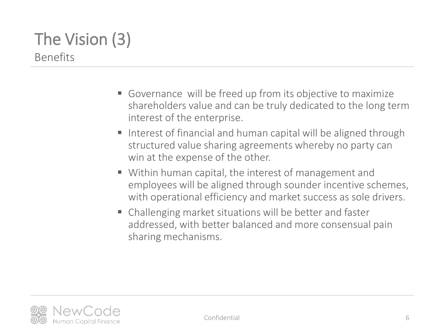### The Vision (3) Benefits

- Governance will be freed up from its objective to maximize shareholders value and can be truly dedicated to the long term interest of the enterprise.
- Interest of financial and human capital will be aligned through structured value sharing agreements whereby no party can win at the expense of the other.
- Within human capital, the interest of management and employees will be aligned through sounder incentive schemes, with operational efficiency and market success as sole drivers.
- Challenging market situations will be better and faster addressed, with better balanced and more consensual pain sharing mechanisms.

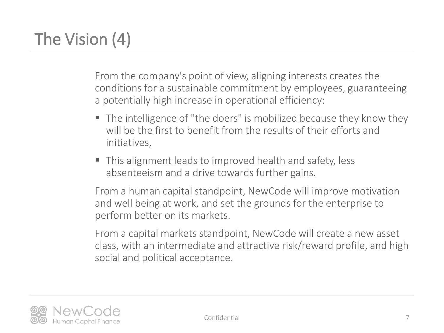# The Vision (4)

From the company's point of view, aligning interests creates the conditions for a sustainable commitment by employees, guaranteeing a potentially high increase in operational efficiency:

- The intelligence of "the doers" is mobilized because they know they will be the first to benefit from the results of their efforts and initiatives,
- This alignment leads to improved health and safety, less absenteeism and a drive towards further gains.

From a human capital standpoint, NewCode will improve motivation and well being at work, and set the grounds for the enterprise to perform better on its markets.

From a capital markets standpoint, NewCode will create a new asset class, with an intermediate and attractive risk/reward profile, and high social and political acceptance.

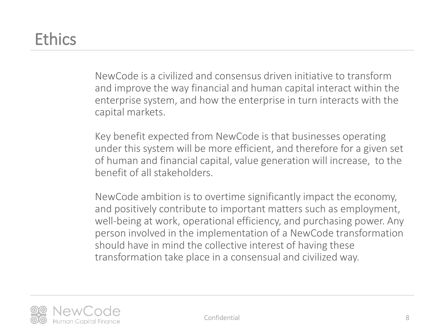## **Ethics**

NewCode is a civilized and consensus driven initiative to transform and improve the way financial and human capital interact within the enterprise system, and how the enterprise in turn interacts with the capital markets.

Key benefit expected from NewCode is that businesses operating under this system will be more efficient, and therefore for a given set of human and financial capital, value generation will increase, to the benefit of all stakeholders.

NewCode ambition is to overtime significantly impact the economy, and positively contribute to important matters such as employment, well-being at work, operational efficiency, and purchasing power. Any person involved in the implementation of a NewCode transformation should have in mind the collective interest of having these transformation take place in a consensual and civilized way.

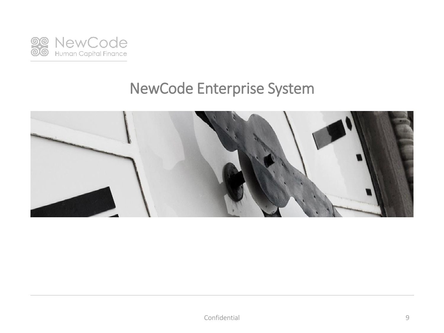

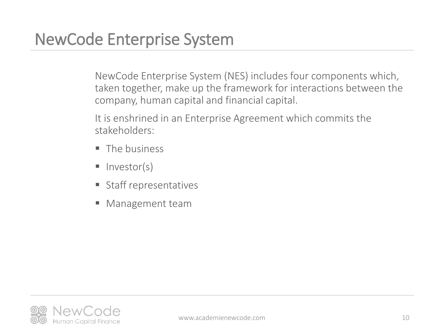NewCode Enterprise System (NES) includes four components which, taken together, make up the framework for interactions between the company, human capital and financial capital.

It is enshrined in an Enterprise Agreement which commits the stakeholders:

- The business
- $\blacksquare$  Investor(s)
- Staff representatives
- Management team

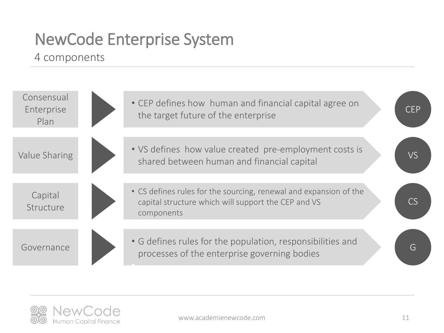#### 4 components



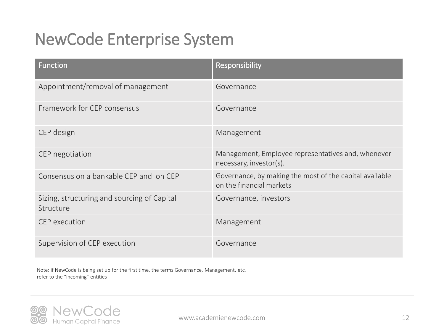| <b>Function</b>                                          | Responsibility                                                                      |
|----------------------------------------------------------|-------------------------------------------------------------------------------------|
| Appointment/removal of management                        | Governance                                                                          |
| Framework for CEP consensus                              | Governance                                                                          |
| CEP design                                               | Management                                                                          |
| CEP negotiation                                          | Management, Employee representatives and, whenever<br>necessary, investor(s).       |
| Consensus on a bankable CEP and on CEP                   | Governance, by making the most of the capital available<br>on the financial markets |
| Sizing, structuring and sourcing of Capital<br>Structure | Governance, investors                                                               |
| <b>CEP</b> execution                                     | Management                                                                          |
| Supervision of CEP execution                             | Governance                                                                          |

Note: if NewCode is being set up for the first time, the terms Governance, Management, etc. refer to the "incoming" entities

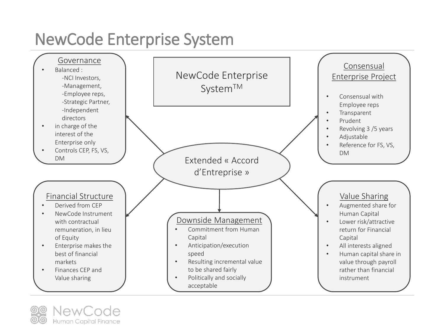

Human Capital Finance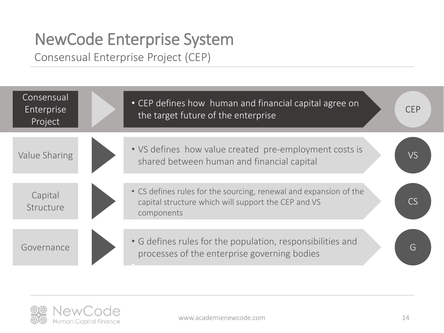Consensual Enterprise Project (CEP)



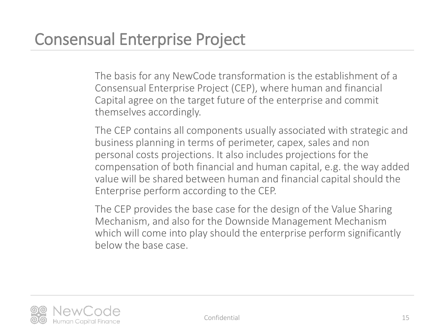The basis for any NewCode transformation is the establishment of a Consensual Enterprise Project (CEP), where human and financial Capital agree on the target future of the enterprise and commit themselves accordingly.

The CEP contains all components usually associated with strategic and business planning in terms of perimeter, capex, sales and non personal costs projections. It also includes projections for the compensation of both financial and human capital, e.g. the way added value will be shared between human and financial capital should the Enterprise perform according to the CEP.

The CEP provides the base case for the design of the Value Sharing Mechanism, and also for the Downside Management Mechanism which will come into play should the enterprise perform significantly below the base case.

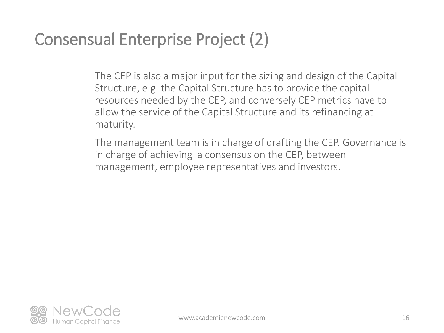The CEP is also a major input for the sizing and design of the Capital Structure, e.g. the Capital Structure has to provide the capital resources needed by the CEP, and conversely CEP metrics have to allow the service of the Capital Structure and its refinancing at maturity.

The management team is in charge of drafting the CEP. Governance is in charge of achieving a consensus on the CEP, between management, employee representatives and investors.

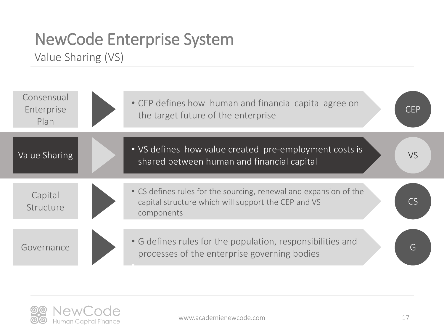Value Sharing (VS)

| Consensual<br>Enterprise<br>Plan | • CEP defines how human and financial capital agree on<br>the target future of the enterprise                                          | <b>CEP</b> |
|----------------------------------|----------------------------------------------------------------------------------------------------------------------------------------|------------|
| Value Sharing                    | • VS defines how value created pre-employment costs is<br>shared between human and financial capital                                   | <b>VS</b>  |
| Capital<br>Structure             | • CS defines rules for the sourcing, renewal and expansion of the<br>capital structure which will support the CEP and VS<br>components |            |
| Governance                       | • G defines rules for the population, responsibilities and<br>processes of the enterprise governing bodies                             | G          |

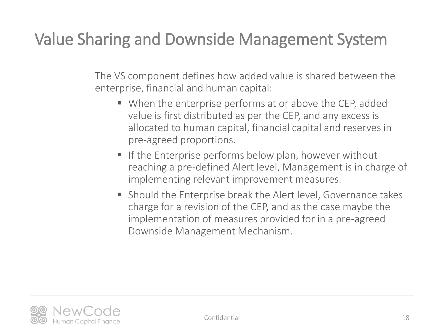# Value Sharing and Downside Management System

The VS component defines how added value is shared between the enterprise, financial and human capital:

- When the enterprise performs at or above the CEP, added value is first distributed as per the CEP, and any excess is allocated to human capital, financial capital and reserves in pre-agreed proportions.
- **If the Enterprise performs below plan, however without** reaching a pre-defined Alert level, Management is in charge of implementing relevant improvement measures.
- Should the Enterprise break the Alert level, Governance takes charge for a revision of the CEP, and as the case maybe the implementation of measures provided for in a pre-agreed Downside Management Mechanism.

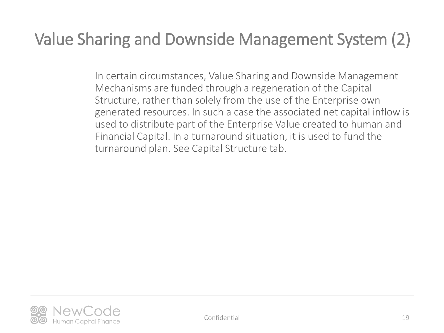# Value Sharing and Downside Management System (2)

In certain circumstances, Value Sharing and Downside Management Mechanisms are funded through a regeneration of the Capital Structure, rather than solely from the use of the Enterprise own generated resources. In such a case the associated net capital inflow is used to distribute part of the Enterprise Value created to human and Financial Capital. In a turnaround situation, it is used to fund the turnaround plan. See Capital Structure tab.

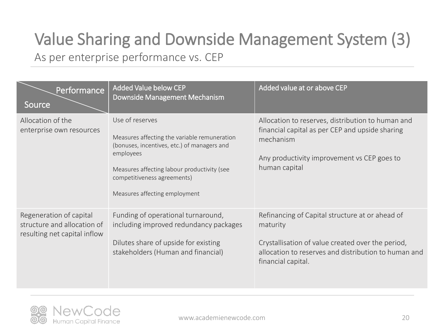# Value Sharing and Downside Management System (3)

As per enterprise performance vs. CEP

| Performance<br>Source                                                                  | <b>Added Value below CEP</b><br>Downside Management Mechanism                                                                                                                                                                              | Added value at or above CEP                                                                                                                                                                    |
|----------------------------------------------------------------------------------------|--------------------------------------------------------------------------------------------------------------------------------------------------------------------------------------------------------------------------------------------|------------------------------------------------------------------------------------------------------------------------------------------------------------------------------------------------|
| Allocation of the<br>enterprise own resources                                          | Use of reserves<br>Measures affecting the variable remuneration<br>(bonuses, incentives, etc.) of managers and<br>employees<br>Measures affecting labour productivity (see<br>competitiveness agreements)<br>Measures affecting employment | Allocation to reserves, distribution to human and<br>financial capital as per CEP and upside sharing<br>mechanism<br>Any productivity improvement vs CEP goes to<br>human capital              |
| Regeneration of capital<br>structure and allocation of<br>resulting net capital inflow | Funding of operational turnaround,<br>including improved redundancy packages<br>Dilutes share of upside for existing<br>stakeholders (Human and financial)                                                                                 | Refinancing of Capital structure at or ahead of<br>maturity<br>Crystallisation of value created over the period,<br>allocation to reserves and distribution to human and<br>financial capital. |

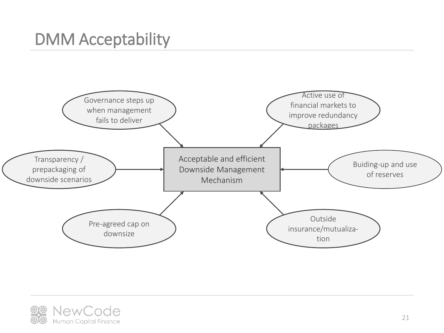## DMM Acceptability



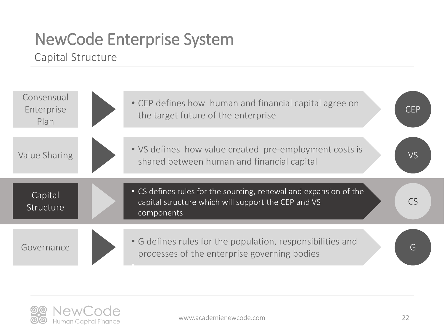#### Capital Structure



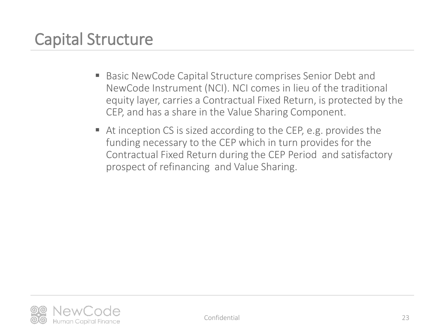## Capital Structure

- Basic NewCode Capital Structure comprises Senior Debt and NewCode Instrument (NCI). NCI comes in lieu of the traditional equity layer, carries a Contractual Fixed Return, is protected by the CEP, and has a share in the Value Sharing Component.
- $\blacksquare$  At inception CS is sized according to the CEP, e.g. provides the funding necessary to the CEP which in turn provides for the Contractual Fixed Return during the CEP Period and satisfactory prospect of refinancing and Value Sharing.

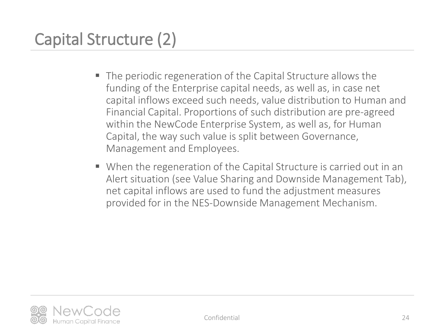# Capital Structure (2)

- The periodic regeneration of the Capital Structure allows the funding of the Enterprise capital needs, as well as, in case net capital inflows exceed such needs, value distribution to Human and Financial Capital. Proportions of such distribution are pre-agreed within the NewCode Enterprise System, as well as, for Human Capital, the way such value is split between Governance, Management and Employees.
- When the regeneration of the Capital Structure is carried out in an Alert situation (see Value Sharing and Downside Management Tab), net capital inflows are used to fund the adjustment measures provided for in the NES-Downside Management Mechanism.

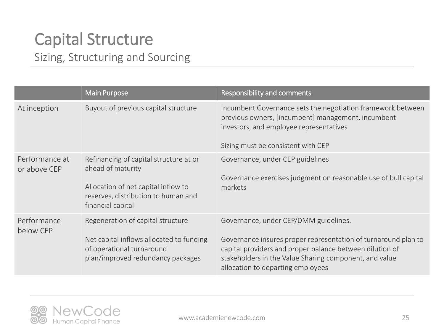### Capital Structure Sizing, Structuring and Sourcing

|                                | <b>Main Purpose</b>                                                                                                                                            | <b>Responsibility and comments</b>                                                                                                                                                                                                                                 |
|--------------------------------|----------------------------------------------------------------------------------------------------------------------------------------------------------------|--------------------------------------------------------------------------------------------------------------------------------------------------------------------------------------------------------------------------------------------------------------------|
| At inception                   | Buyout of previous capital structure                                                                                                                           | Incumbent Governance sets the negotiation framework between<br>previous owners, [incumbent] management, incumbent<br>investors, and employee representatives<br>Sizing must be consistent with CEP                                                                 |
| Performance at<br>or above CEP | Refinancing of capital structure at or<br>ahead of maturity<br>Allocation of net capital inflow to<br>reserves, distribution to human and<br>financial capital | Governance, under CEP guidelines<br>Governance exercises judgment on reasonable use of bull capital<br>markets                                                                                                                                                     |
| Performance<br>below CEP       | Regeneration of capital structure<br>Net capital inflows allocated to funding<br>of operational turnaround<br>plan/improved redundancy packages                | Governance, under CEP/DMM guidelines.<br>Governance insures proper representation of turnaround plan to<br>capital providers and proper balance between dilution of<br>stakeholders in the Value Sharing component, and value<br>allocation to departing employees |

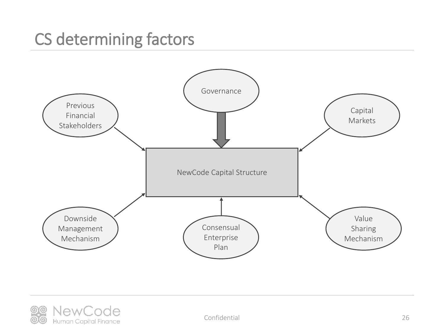### CS determining factors





Confidential 26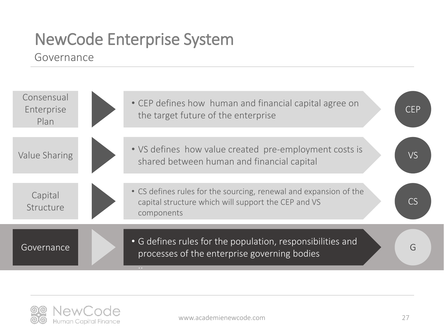#### Governance



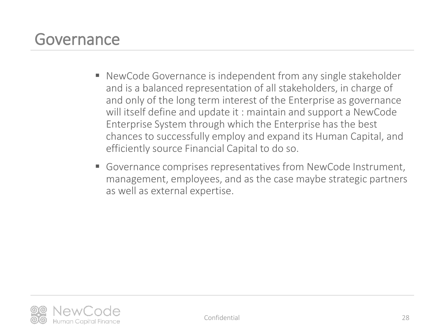### Governance

- NewCode Governance is independent from any single stakeholder and is a balanced representation of all stakeholders, in charge of and only of the long term interest of the Enterprise as governance will itself define and update it : maintain and support a NewCode Enterprise System through which the Enterprise has the best chances to successfully employ and expand its Human Capital, and efficiently source Financial Capital to do so.
- Governance comprises representatives from NewCode Instrument, management, employees, and as the case maybe strategic partners as well as external expertise.

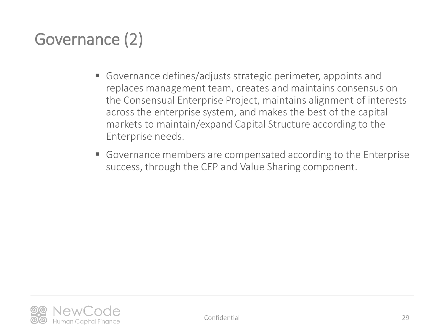# Governance (2)

- Governance defines/adjusts strategic perimeter, appoints and replaces management team, creates and maintains consensus on the Consensual Enterprise Project, maintains alignment of interests across the enterprise system, and makes the best of the capital markets to maintain/expand Capital Structure according to the Enterprise needs.
- Governance members are compensated according to the Enterprise success, through the CEP and Value Sharing component.

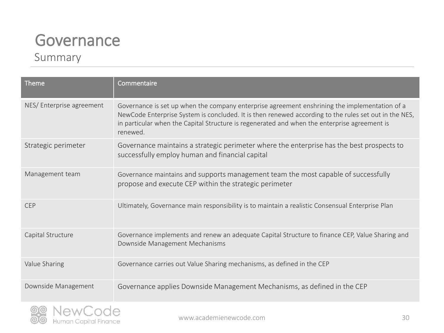### Governance

#### Summary

| <b>Theme</b>             | Commentaire                                                                                                                                                                                                                                                                                                        |
|--------------------------|--------------------------------------------------------------------------------------------------------------------------------------------------------------------------------------------------------------------------------------------------------------------------------------------------------------------|
| NES/Enterprise agreement | Governance is set up when the company enterprise agreement enshrining the implementation of a<br>NewCode Enterprise System is concluded. It is then renewed according to the rules set out in the NES,<br>in particular when the Capital Structure is regenerated and when the enterprise agreement is<br>renewed. |
| Strategic perimeter      | Governance maintains a strategic perimeter where the enterprise has the best prospects to<br>successfully employ human and financial capital                                                                                                                                                                       |
| Management team          | Governance maintains and supports management team the most capable of successfully<br>propose and execute CEP within the strategic perimeter                                                                                                                                                                       |
| <b>CEP</b>               | Ultimately, Governance main responsibility is to maintain a realistic Consensual Enterprise Plan                                                                                                                                                                                                                   |
| Capital Structure        | Governance implements and renew an adequate Capital Structure to finance CEP, Value Sharing and<br>Downside Management Mechanisms                                                                                                                                                                                  |
| Value Sharing            | Governance carries out Value Sharing mechanisms, as defined in the CEP                                                                                                                                                                                                                                             |
| Downside Management      | Governance applies Downside Management Mechanisms, as defined in the CEP                                                                                                                                                                                                                                           |

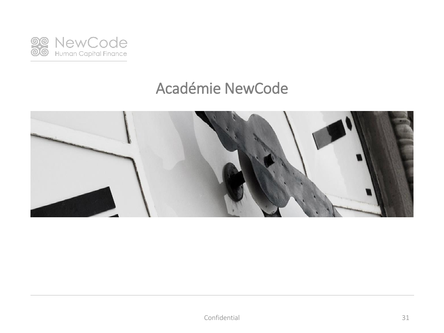

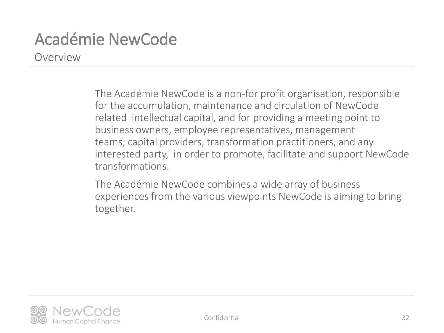Overview

The Académie NewCode is a non-for profit organisation, responsible for the accumulation, maintenance and circulation of NewCode related intellectual capital, and for providing a meeting point to business owners, employee representatives, management teams, capital providers, transformation practitioners, and any interested party, in order to promote, facilitate and support NewCode transformations.

The Académie NewCode combines a wide array of business experiences from the various viewpoints NewCode is aiming to bring together.



Confidential 32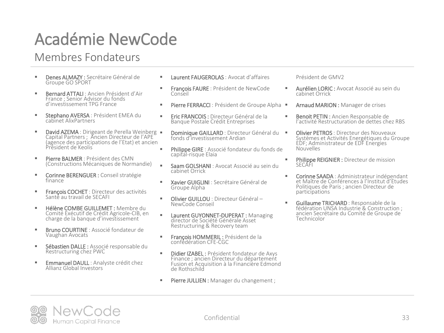#### Membres Fondateurs

- Denes ALMAZY : Secrétaire Général de Groupe GO SPORT
- Bernard ATTALI : Ancien Président d'Air France ; Senior Advisor du fonds d'investissement TPG France
- **E** Stephano AVERSA : Président EMEA du cabinet AlixPartners
- David AZEMA : Dirigeant de Perella Weinberg Capital Partners ; Ancien Directeur de l'APE (agence des participations de l'Etat) et ancien Président de Keolis
- **E** Pierre BALMER : Président des CMN (Constructions Mécaniques de Normandie)
- Corinne BERENGUER : Conseil stratégie finance
- **François COCHET** : Directeur des activités Santé au travail de SECAFI
- Hélène COMBE GUILLEMET : Membre du Comité Exécutif de Crédit Agricole-CIB, en charge de la banque d'investissement
- **Bruno COURTINE** : Associé fondateur de Vaughan Avocats
- Sébastien DALLE : Associé responsable du Restructuring chez PWC
- **Emmanuel DAULL :** Analyste crédit chez Allianz Global Investors
- Laurent FAUGEROLAS : Avocat d'affaires
- **François FAURE** : Président de NewCode Conseil
- Pierre FERRACCI : Président de Groupe Alpha
- **Eric FRANCOIS :** Directeur Général de la Banque Postale Crédit Entreprises
- **Dominique GAILLARD** : Directeur Général du fonds d'investissement Ardian
- Philippe GIRE : Associé fondateur du fonds de capital-risque Elaia
- **E** Saam GOLSHANI : Avocat Associé au sein du cabinet Orrick
- **EXavier GUIGLINI** : Secrétaire Général de Groupe Alpha
- **· Olivier GUILLOU** : Directeur Général -NewCode Conseil
- **Laurent GUYONNET-DUPERAT: Managing** director de Société Générale Asset Restructuring & Recovery team
- **François HOMMERIL : Président de la** confédération CFE-CGC
- **E** Didier IZABEL : Président fondateur de Axys Finance ; ancien Directeur du département Fusion et Acquisition à la Financière Edmond de Rothschild
- **Pierre JULLIEN :** Manager du changement ;

Président de GMV2

- Aurélien LORIC : Avocat Associé au sein du cabinet Orrick
	- Arnaud MARION : Manager de crises
- Benoit PETIN : Ancien Responsable de l'activité Restructuration de dettes chez RBS
	- **Olivier PETROS** : Directeur des Nouveaux Systèmes et Activités Energétiques du Groupe EDF; Administrateur de EDF Energies Nouvelles
- **Philippe REIGNIER :** Directeur de mission SECAFI
- **EXECORTIVE SAADA** : Administrateur indépendant et Maître de Conférences à l'Institut d'Etudes Politiques de Paris ; ancien Directeur de participations
- Guillaume TRICHARD : Responsable de la fédération UNSA Industrie & Construction ; ancien Secrétaire du Comité de Groupe de Technicolor



Confidential 33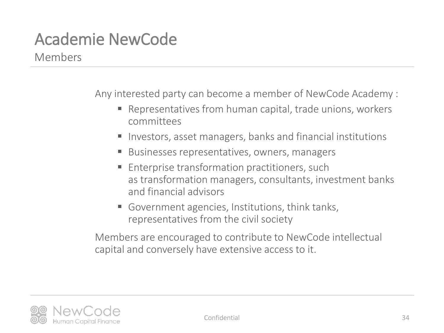Members

Any interested party can become a member of NewCode Academy :

- Representatives from human capital, trade unions, workers committees
- Investors, asset managers, banks and financial institutions
- Businesses representatives, owners, managers
- Enterprise transformation practitioners, such as transformation managers, consultants, investment banks and financial advisors
- Government agencies, Institutions, think tanks, representatives from the civil society

Members are encouraged to contribute to NewCode intellectual capital and conversely have extensive access to it.

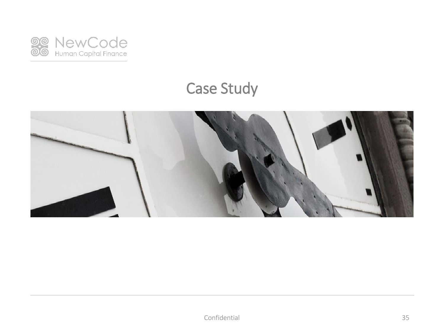

### Case Study

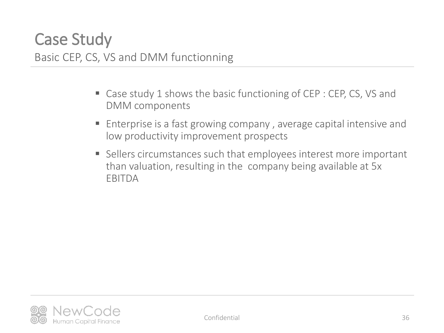- Case study 1 shows the basic functioning of CEP : CEP, CS, VS and DMM components
- Enterprise is a fast growing company, average capital intensive and low productivity improvement prospects
- Sellers circumstances such that employees interest more important than valuation, resulting in the company being available at 5x EBITDA

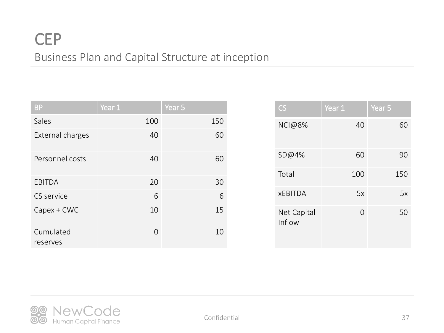### **CEP** Business Plan and Capital Structure at inception

| <b>BP</b>             | Year 1 | Year 5 |
|-----------------------|--------|--------|
| Sales                 | 100    | 150    |
| External charges      | 40     | 60     |
| Personnel costs       | 40     | 60     |
| <b>EBITDA</b>         | 20     | 30     |
| CS service            | 6      | 6      |
| $Capex + CWC$         | 10     | 15     |
| Cumulated<br>reserves | 0      | 10     |

| $\mathsf{CS}\,$       | Year 1   | Year 5 |
|-----------------------|----------|--------|
| <b>NCI@8%</b>         | 40       | 60     |
| SD@4%                 | 60       | 90     |
| Total                 | 100      | 150    |
| <b>XEBITDA</b>        | 5x       | 5x     |
| Net Capital<br>Inflow | $\Omega$ | 50     |

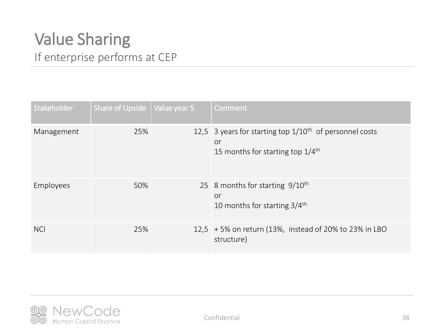### Value Sharing If enterprise performs at CEP

| Stakeholder | Share of Upside   Value year 5 | Comment                                                                                                              |
|-------------|--------------------------------|----------------------------------------------------------------------------------------------------------------------|
| Management  | 25%                            | 12,5 3 years for starting top $1/10^{th}$ of personnel costs<br>or<br>15 months for starting top $1/4$ <sup>th</sup> |
| Employees   | 50%                            | 25 8 months for starting $9/10^{th}$<br>or<br>10 months for starting $3/4$ <sup>th</sup>                             |
| <b>NCI</b>  | 25%                            | 12,5 + 5% on return (13%, instead of 20% to 23% in LBO<br>structure)                                                 |

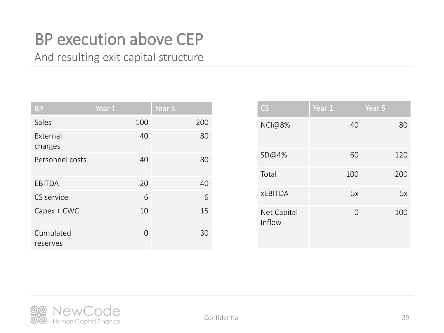### BP execution above CEP

And resulting exit capital structure

| <b>BP</b>                  | Year 1 | Year 5 |
|----------------------------|--------|--------|
| Sales                      | 100    | 200    |
| <b>Fxternal</b><br>charges | 40     | 80     |
| Personnel costs            | 40     | 80     |
| <b>EBITDA</b>              | 20     | 40     |
| CS service                 | 6      | 6      |
| Capex + CWC                | 10     | 15     |
| Cumulated<br>reserves      | Ω      | 30     |

| CS                    | Year 1   | Year 5 |
|-----------------------|----------|--------|
| <b>NCI@8%</b>         | 40       | 80     |
| SD@4%                 | 60       | 120    |
| Total                 | 100      | 200    |
| <b>XEBITDA</b>        | 5x       | 5x     |
| Net Capital<br>Inflow | $\Omega$ | 100    |

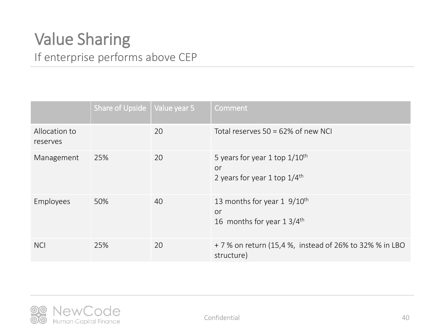### Value Sharing If enterprise performs above CEP

|                           | Share of Upside $\vert$ Value year 5 |    | Comment                                                                                         |
|---------------------------|--------------------------------------|----|-------------------------------------------------------------------------------------------------|
| Allocation to<br>reserves |                                      | 20 | Total reserves $50 = 62\%$ of new NCI                                                           |
| Management                | 25%                                  | 20 | 5 years for year 1 top $1/10$ <sup>th</sup><br>or<br>2 years for year 1 top $1/4$ <sup>th</sup> |
| Employees                 | 50%                                  | 40 | 13 months for year $1\,9/10^{th}$<br>or<br>16 months for year $1.3/4$ <sup>th</sup>             |
| <b>NCI</b>                | 25%                                  | 20 | + 7 % on return (15,4 %, instead of 26% to 32% % in LBO<br>structure)                           |

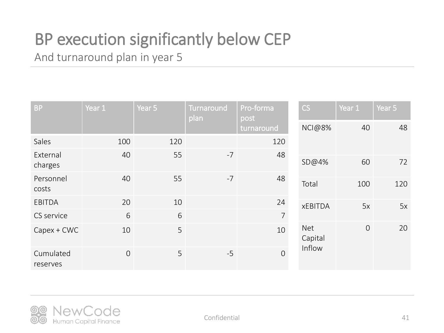# BP execution significantly below CEP

And turnaround plan in year 5

| <b>BP</b>             | Year 1         | Year 5 | <b>Turnaround</b><br>plan | Pro-forma<br>post<br>turnaround | CS                    | Year 1         | Year 5 |
|-----------------------|----------------|--------|---------------------------|---------------------------------|-----------------------|----------------|--------|
|                       |                |        |                           |                                 | <b>NCI@8%</b>         | 40             | 48     |
| Sales                 | 100            | 120    |                           | 120                             |                       |                |        |
| External              | 40             | 55     | $-7$                      | 48                              |                       |                |        |
| charges               |                |        |                           |                                 | SD@4%                 | 60             | 72     |
| Personnel             | 40             | 55     | $-7$                      | 48                              | Total                 | 100            | 120    |
| costs                 |                |        |                           |                                 |                       |                |        |
| EBITDA                | 20             | 10     |                           | 24                              | <b>xEBITDA</b>        | 5x             | 5x     |
| CS service            | 6              | 6      |                           | $\overline{7}$                  |                       |                |        |
| $Capex + CWC$         | 10             | 5      |                           | 10                              | <b>Net</b><br>Capital | $\overline{O}$ | 20     |
| Cumulated<br>reserves | $\overline{0}$ | 5      | $-5$                      | $\overline{O}$                  | Inflow                |                |        |